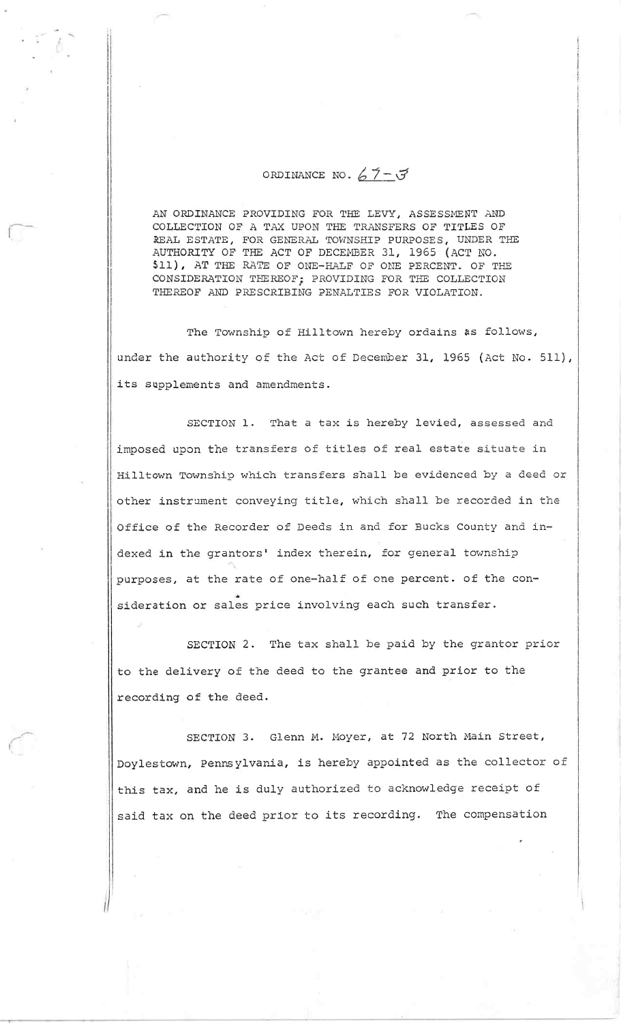## ORDINANCE NO.  $67 - 3$

AN ORDINANCE PROVIDING FOR THE LEVY, ASSESSMENT AND COLLECTION OF A TAX UPON THE TRANSFERS OF TITLES OF REAL ESTATE, FOR GENERAL TOWNSHIP PURPOSES, UNDER THE AUTHORITY OF THE ACT OF DECEMBER 31, 1965 (ACT NO 511), AT THE RATE OF ONE-HALF OF ONE PERCENT. OF THE CONSIDERATION TFEREOF; PROVIDING FOR THE COLLECTIQN THEREOP AND PRESCRIBING PENALTIES FOR VIOLATION.

The Township of Hilltown hereby ordains as follows, under the authority of the Act of December 31, 1965 (Act No. 511), its supplements and amendments.

SECTION 1. That a tax is hereby levied, assessed and imposed upon the transfers of titles of real estate situate in Hilltown Township which transfers shall be evidenced by a deed or other instrament conveying title, which shall be recorded in the Office of the Recorder of Deeds in and for Bucks County and indexed in the grantors' index therein, for general township purposes, at the rate of one-half of one percent. of the consideration or sales price involving each such transfer.

SECTION 2. The tax shall be paid by the grantor prior to the delivery of the deed to the grantee and prior to the recording of the deed.

SECTION 3. Glenn M. Moyer, at 72 North Main Street, Doylestown, Pennsylvania, is hereby appointed as the collector of this tax, and he is duly authorized to acknowledge receipt of said tax on the deed prior to its recording. The compensation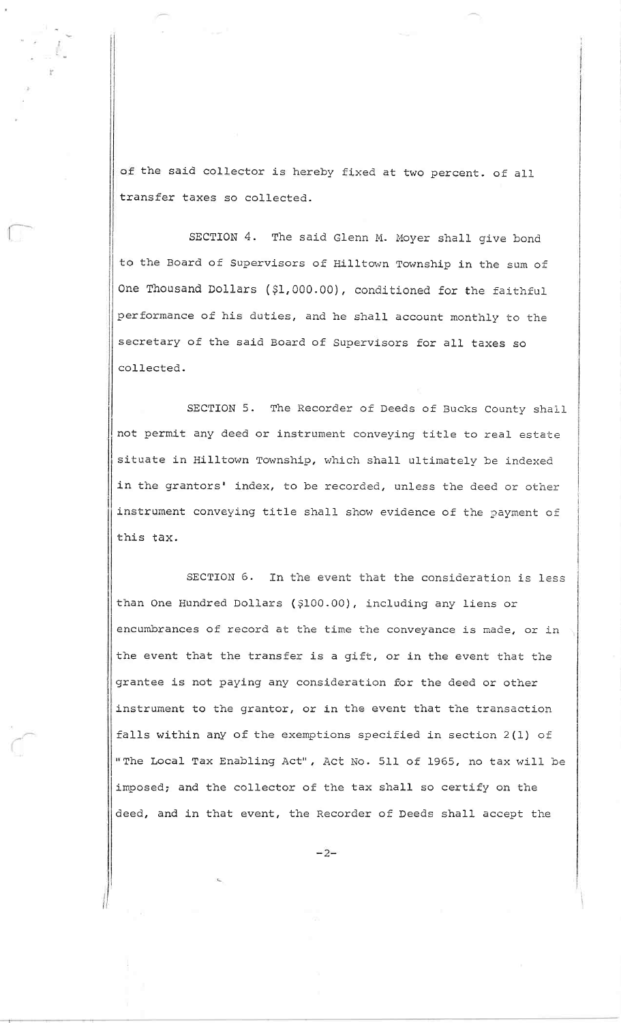of the said collector is hereby fixed at two percent. of all transfer taxes so collected.

I-"'-

SECTION 4. The said Glenn M. Moyer shall give bond to the Board of Supervisors of Hilltown Township in the sum of One Thousand Dollars (\$1,000.00), conditioned for the faithful performance of his duties, and he shall account monthly to the secretary of the said Board of Supervisors for all taxes so collected.

SECTION 5. The Recorder of Deeds of Bucks County shall not permit any deed or instrument conveying title to real estate situate in Hilltown Township, which shall ultimately be indexed in the grantors' index, to be recorded, unless the deed or other instrument conveying title shall show evidence of the payment of this tax.

SECTION 6. In the event that the consideration is less than One Hundred Dollars (\$100.00), including any liens or encumbrances of record at the time the conveyance is made, or in the event that the transfer is a gift, or in the event that the grantee is not paying any consideration for the deed or other instrument to the grantor, or in the event that the transaction falls within any of the exemptions specified in section 2(1) of " The Local Tax Enabling Act", Act No. 511 of 1965, no tax will be imposed; and the collector of the tax shall so certify on the deed, and in that event, the Recorder of Deeds shall accept the

 $-2-$